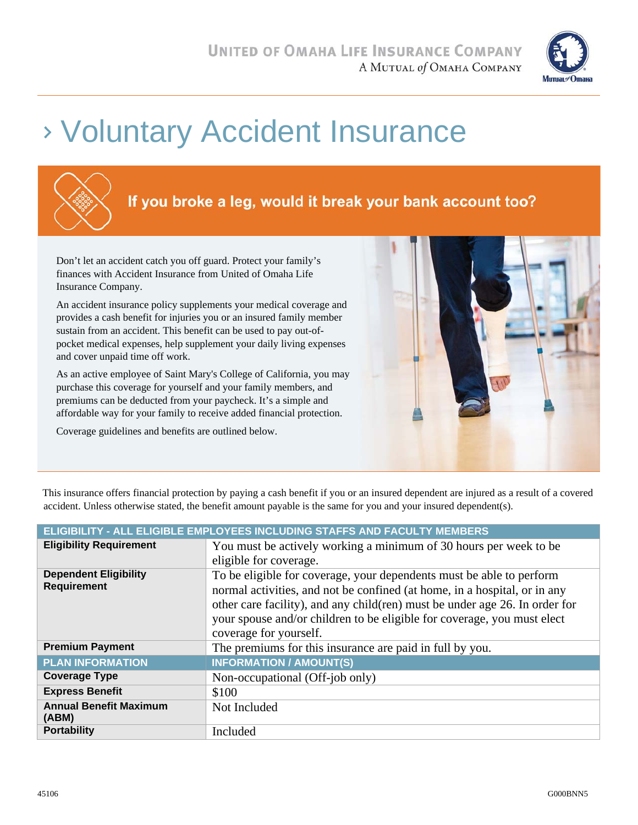

# Voluntary Accident Insurance



Don't let an accident catch you off guard. Protect your family's finances with Accident Insurance from United of Omaha Life Insurance Company.

An accident insurance policy supplements your medical coverage and provides a cash benefit for injuries you or an insured family member sustain from an accident. This benefit can be used to pay out-ofpocket medical expenses, help supplement your daily living expenses and cover unpaid time off work.

As an active employee of Saint Mary's College of California, you may purchase this coverage for yourself and your family members, and premiums can be deducted from your paycheck. It's a simple and affordable way for your family to receive added financial protection.

Coverage guidelines and benefits are outlined below.



This insurance offers financial protection by paying a cash benefit if you or an insured dependent are injured as a result of a covered accident. Unless otherwise stated, the benefit amount payable is the same for you and your insured dependent(s).

| ELIGIBILITY - ALL ELIGIBLE EMPLOYEES INCLUDING STAFFS AND FACULTY MEMBERS |                                                                                                                                                                                                                                                                                                                                        |  |
|---------------------------------------------------------------------------|----------------------------------------------------------------------------------------------------------------------------------------------------------------------------------------------------------------------------------------------------------------------------------------------------------------------------------------|--|
| <b>Eligibility Requirement</b>                                            | You must be actively working a minimum of 30 hours per week to be                                                                                                                                                                                                                                                                      |  |
|                                                                           | eligible for coverage.                                                                                                                                                                                                                                                                                                                 |  |
| <b>Dependent Eligibility</b><br><b>Requirement</b>                        | To be eligible for coverage, your dependents must be able to perform<br>normal activities, and not be confined (at home, in a hospital, or in any<br>other care facility), and any child (ren) must be under age 26. In order for<br>your spouse and/or children to be eligible for coverage, you must elect<br>coverage for yourself. |  |
| <b>Premium Payment</b>                                                    | The premiums for this insurance are paid in full by you.                                                                                                                                                                                                                                                                               |  |
| <b>PLAN INFORMATION</b>                                                   | <b>INFORMATION / AMOUNT(S)</b>                                                                                                                                                                                                                                                                                                         |  |
| <b>Coverage Type</b>                                                      | Non-occupational (Off-job only)                                                                                                                                                                                                                                                                                                        |  |
| <b>Express Benefit</b>                                                    | \$100                                                                                                                                                                                                                                                                                                                                  |  |
| <b>Annual Benefit Maximum</b><br>(ABM)                                    | Not Included                                                                                                                                                                                                                                                                                                                           |  |
| <b>Portability</b>                                                        | Included                                                                                                                                                                                                                                                                                                                               |  |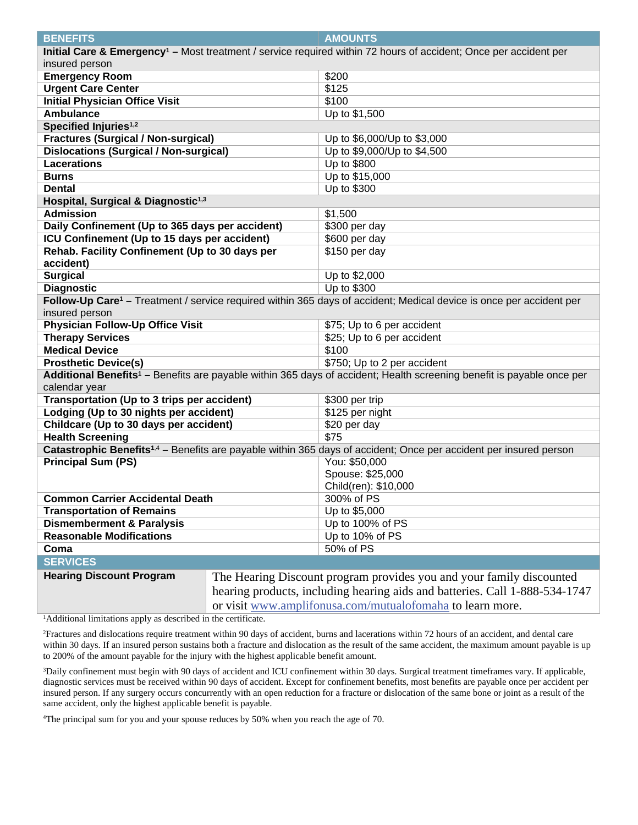| <b>BENEFITS</b>                                                                                                                                      |  | <b>AMOUNTS</b>                                                                                                                    |  |  |  |
|------------------------------------------------------------------------------------------------------------------------------------------------------|--|-----------------------------------------------------------------------------------------------------------------------------------|--|--|--|
| insured person                                                                                                                                       |  | Initial Care & Emergency <sup>1</sup> - Most treatment / service required within 72 hours of accident; Once per accident per      |  |  |  |
| <b>Emergency Room</b>                                                                                                                                |  | \$200                                                                                                                             |  |  |  |
| <b>Urgent Care Center</b>                                                                                                                            |  | \$125                                                                                                                             |  |  |  |
| <b>Initial Physician Office Visit</b>                                                                                                                |  | \$100                                                                                                                             |  |  |  |
| <b>Ambulance</b>                                                                                                                                     |  | Up to \$1,500                                                                                                                     |  |  |  |
| Specified Injuries <sup>1,2</sup>                                                                                                                    |  |                                                                                                                                   |  |  |  |
| <b>Fractures (Surgical / Non-surgical)</b>                                                                                                           |  | Up to \$6,000/Up to \$3,000                                                                                                       |  |  |  |
| <b>Dislocations (Surgical / Non-surgical)</b>                                                                                                        |  | Up to \$9,000/Up to \$4,500                                                                                                       |  |  |  |
| <b>Lacerations</b>                                                                                                                                   |  | Up to \$800                                                                                                                       |  |  |  |
| <b>Burns</b>                                                                                                                                         |  | Up to \$15,000                                                                                                                    |  |  |  |
| <b>Dental</b>                                                                                                                                        |  | Up to \$300                                                                                                                       |  |  |  |
|                                                                                                                                                      |  |                                                                                                                                   |  |  |  |
| Hospital, Surgical & Diagnostic <sup>1,3</sup><br><b>Admission</b><br>\$1,500                                                                        |  |                                                                                                                                   |  |  |  |
|                                                                                                                                                      |  | \$300 per day                                                                                                                     |  |  |  |
| Daily Confinement (Up to 365 days per accident)<br>ICU Confinement (Up to 15 days per accident)                                                      |  | \$600 per day                                                                                                                     |  |  |  |
| Rehab. Facility Confinement (Up to 30 days per                                                                                                       |  | \$150 per day                                                                                                                     |  |  |  |
| accident)                                                                                                                                            |  |                                                                                                                                   |  |  |  |
|                                                                                                                                                      |  | Up to \$2,000                                                                                                                     |  |  |  |
| <b>Surgical</b>                                                                                                                                      |  | Up to \$300                                                                                                                       |  |  |  |
| <b>Diagnostic</b><br>Follow-Up Care <sup>1</sup> - Treatment / service required within 365 days of accident; Medical device is once per accident per |  |                                                                                                                                   |  |  |  |
| insured person                                                                                                                                       |  |                                                                                                                                   |  |  |  |
| <b>Physician Follow-Up Office Visit</b>                                                                                                              |  | \$75; Up to 6 per accident                                                                                                        |  |  |  |
|                                                                                                                                                      |  | \$25; Up to 6 per accident                                                                                                        |  |  |  |
| <b>Therapy Services</b><br><b>Medical Device</b>                                                                                                     |  | \$100                                                                                                                             |  |  |  |
|                                                                                                                                                      |  | \$750; Up to 2 per accident                                                                                                       |  |  |  |
| <b>Prosthetic Device(s)</b>                                                                                                                          |  |                                                                                                                                   |  |  |  |
| calendar year                                                                                                                                        |  | Additional Benefits <sup>1</sup> - Benefits are payable within 365 days of accident; Health screening benefit is payable once per |  |  |  |
| Transportation (Up to 3 trips per accident)                                                                                                          |  | \$300 per trip                                                                                                                    |  |  |  |
| Lodging (Up to 30 nights per accident)                                                                                                               |  | \$125 per night                                                                                                                   |  |  |  |
| Childcare (Up to 30 days per accident)                                                                                                               |  | \$20 per day                                                                                                                      |  |  |  |
| <b>Health Screening</b>                                                                                                                              |  | \$75                                                                                                                              |  |  |  |
| Catastrophic Benefits <sup>1,4</sup> - Benefits are payable within 365 days of accident; Once per accident per insured person                        |  |                                                                                                                                   |  |  |  |
| <b>Principal Sum (PS)</b>                                                                                                                            |  | You: \$50,000                                                                                                                     |  |  |  |
|                                                                                                                                                      |  | Spouse: \$25,000                                                                                                                  |  |  |  |
|                                                                                                                                                      |  | Child(ren): \$10,000                                                                                                              |  |  |  |
| <b>Common Carrier Accidental Death</b>                                                                                                               |  | 300% of PS                                                                                                                        |  |  |  |
| <b>Transportation of Remains</b>                                                                                                                     |  | Up to \$5,000                                                                                                                     |  |  |  |
| <b>Dismemberment &amp; Paralysis</b>                                                                                                                 |  | Up to 100% of PS                                                                                                                  |  |  |  |
| <b>Reasonable Modifications</b>                                                                                                                      |  | Up to 10% of PS                                                                                                                   |  |  |  |
| Coma                                                                                                                                                 |  | 50% of PS                                                                                                                         |  |  |  |
| <b>SERVICES</b>                                                                                                                                      |  |                                                                                                                                   |  |  |  |
| <b>Hearing Discount Program</b>                                                                                                                      |  | The Hearing Discount program provides you and your family discounted                                                              |  |  |  |
|                                                                                                                                                      |  |                                                                                                                                   |  |  |  |
|                                                                                                                                                      |  | hearing products, including hearing aids and batteries. Call 1-888-534-1747                                                       |  |  |  |
|                                                                                                                                                      |  | or visit www.amplifonusa.com/mutualofomaha to learn more.                                                                         |  |  |  |

<sup>1</sup>Additional limitations apply as described in the certificate.

2Fractures and dislocations require treatment within 90 days of accident, burns and lacerations within 72 hours of an accident, and dental care within 30 days. If an insured person sustains both a fracture and dislocation as the result of the same accident, the maximum amount payable is up to 200% of the amount payable for the injury with the highest applicable benefit amount.

3Daily confinement must begin with 90 days of accident and ICU confinement within 30 days. Surgical treatment timeframes vary. If applicable, diagnostic services must be received within 90 days of accident. Except for confinement benefits, most benefits are payable once per accident per insured person. If any surgery occurs concurrently with an open reduction for a fracture or dislocation of the same bone or joint as a result of the same accident, only the highest applicable benefit is payable.

4 The principal sum for you and your spouse reduces by 50% when you reach the age of 70.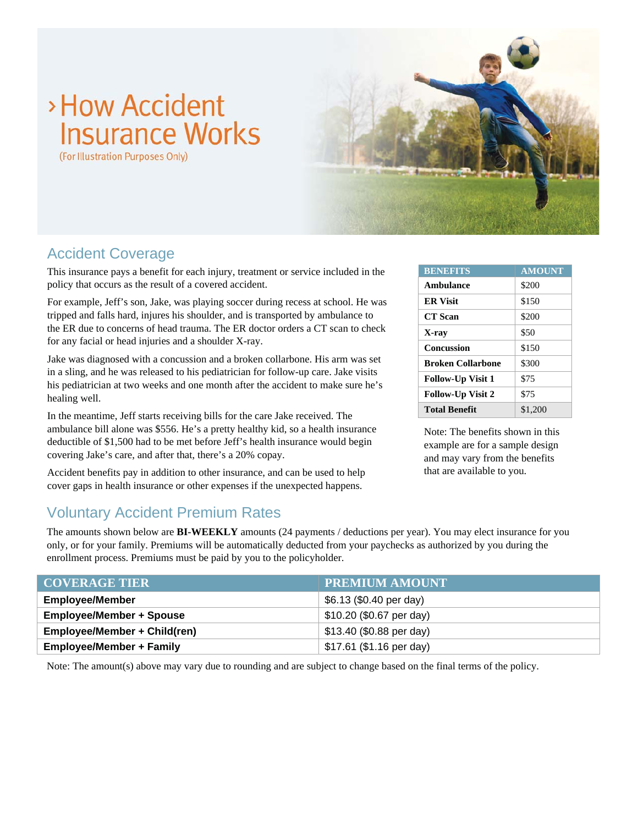# >How Accident **Insurance Works**

(For Illustration Purposes Only)



### Accident Coverage

This insurance pays a benefit for each injury, treatment or service included in the policy that occurs as the result of a covered accident.

For example, Jeff's son, Jake, was playing soccer during recess at school. He was tripped and falls hard, injures his shoulder, and is transported by ambulance to the ER due to concerns of head trauma. The ER doctor orders a CT scan to check for any facial or head injuries and a shoulder X-ray.

Jake was diagnosed with a concussion and a broken collarbone. His arm was set in a sling, and he was released to his pediatrician for follow-up care. Jake visits his pediatrician at two weeks and one month after the accident to make sure he's healing well.

In the meantime, Jeff starts receiving bills for the care Jake received. The ambulance bill alone was \$556. He's a pretty healthy kid, so a health insurance deductible of \$1,500 had to be met before Jeff's health insurance would begin covering Jake's care, and after that, there's a 20% copay.

Accident benefits pay in addition to other insurance, and can be used to help cover gaps in health insurance or other expenses if the unexpected happens.

| <b>BENEFITS</b>          | <b>AMOUNT</b> |
|--------------------------|---------------|
| Ambulance                | \$200         |
| <b>ER Visit</b>          | \$150         |
| <b>CT</b> Scan           | \$200         |
| X-ray                    | \$50          |
| Concussion               | \$150         |
| <b>Broken Collarhone</b> | \$300         |
| <b>Follow-Up Visit 1</b> | \$75          |
| <b>Follow-Up Visit 2</b> | \$75          |
| <b>Total Benefit</b>     | \$1,200       |

Note: The benefits shown in this example are for a sample design and may vary from the benefits that are available to you.

## Voluntary Accident Premium Rates

The amounts shown below are **BI-WEEKLY** amounts (24 payments / deductions per year). You may elect insurance for you only, or for your family. Premiums will be automatically deducted from your paychecks as authorized by you during the enrollment process. Premiums must be paid by you to the policyholder.

| <b>COVERAGE TIER</b>            | <b>PREMIUM AMOUNT</b>    |
|---------------------------------|--------------------------|
| <b>Employee/Member</b>          | \$6.13 (\$0.40 per day)  |
| <b>Employee/Member + Spouse</b> | \$10.20 (\$0.67 per day) |
| Employee/Member + Child(ren)    | \$13.40 (\$0.88 per day) |
| <b>Employee/Member + Family</b> | \$17.61 (\$1.16 per day) |

Note: The amount(s) above may vary due to rounding and are subject to change based on the final terms of the policy.